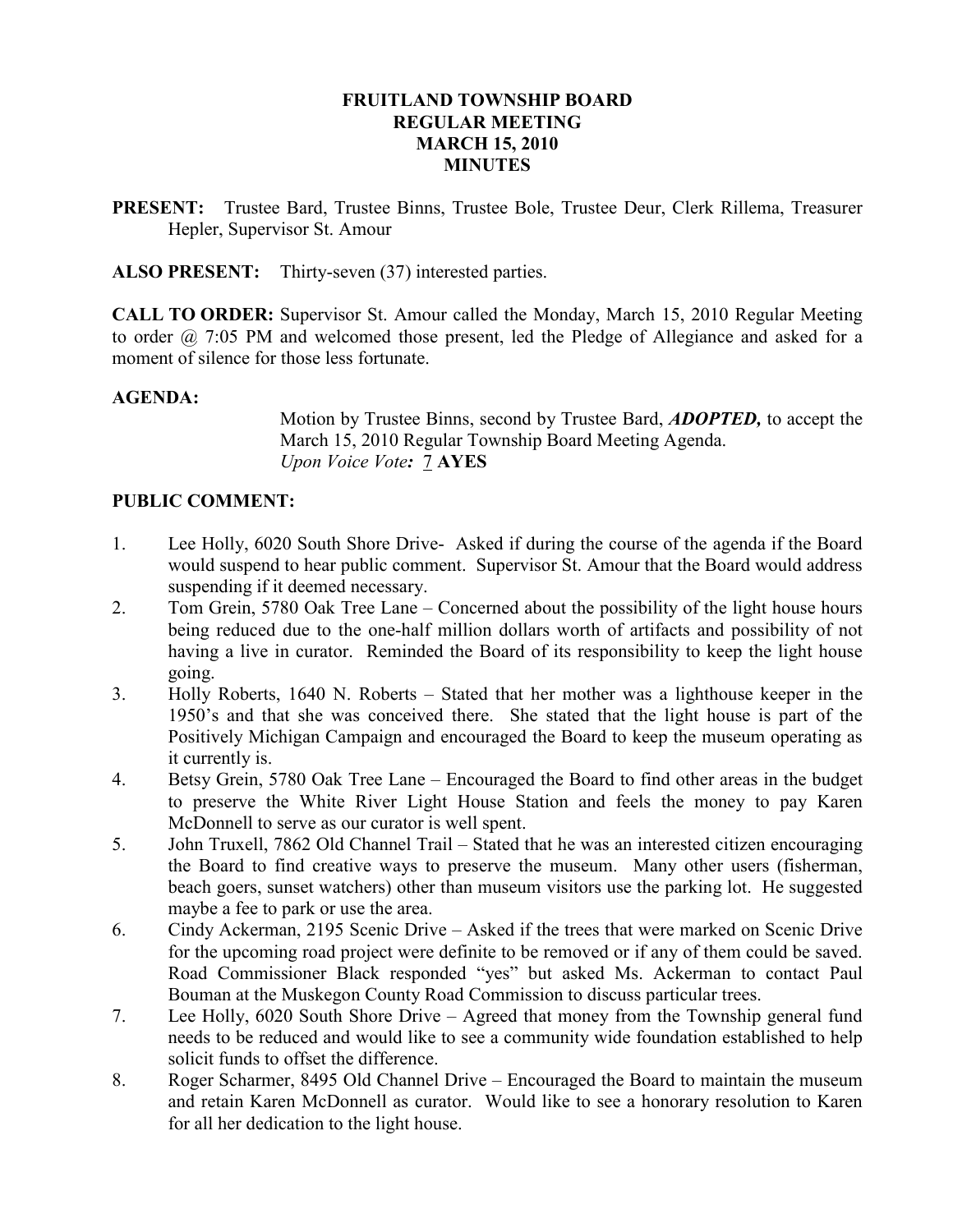#### FRUITLAND TOWNSHIP BOARD REGULAR MEETING MARCH 15, 2010 **MINUTES**

PRESENT: Trustee Bard, Trustee Binns, Trustee Bole, Trustee Deur, Clerk Rillema, Treasurer Hepler, Supervisor St. Amour

ALSO PRESENT: Thirty-seven (37) interested parties.

CALL TO ORDER: Supervisor St. Amour called the Monday, March 15, 2010 Regular Meeting to order @ 7:05 PM and welcomed those present, led the Pledge of Allegiance and asked for a moment of silence for those less fortunate.

#### AGENDA:

Motion by Trustee Binns, second by Trustee Bard, ADOPTED, to accept the March 15, 2010 Regular Township Board Meeting Agenda. Upon Voice Vote: 7 AYES

#### PUBLIC COMMENT:

- 1. Lee Holly, 6020 South Shore Drive- Asked if during the course of the agenda if the Board would suspend to hear public comment. Supervisor St. Amour that the Board would address suspending if it deemed necessary.
- 2. Tom Grein, 5780 Oak Tree Lane Concerned about the possibility of the light house hours being reduced due to the one-half million dollars worth of artifacts and possibility of not having a live in curator. Reminded the Board of its responsibility to keep the light house going.
- 3. Holly Roberts, 1640 N. Roberts Stated that her mother was a lighthouse keeper in the 1950's and that she was conceived there. She stated that the light house is part of the Positively Michigan Campaign and encouraged the Board to keep the museum operating as it currently is.
- 4. Betsy Grein, 5780 Oak Tree Lane Encouraged the Board to find other areas in the budget to preserve the White River Light House Station and feels the money to pay Karen McDonnell to serve as our curator is well spent.
- 5. John Truxell, 7862 Old Channel Trail Stated that he was an interested citizen encouraging the Board to find creative ways to preserve the museum. Many other users (fisherman, beach goers, sunset watchers) other than museum visitors use the parking lot. He suggested maybe a fee to park or use the area.
- 6. Cindy Ackerman, 2195 Scenic Drive Asked if the trees that were marked on Scenic Drive for the upcoming road project were definite to be removed or if any of them could be saved. Road Commissioner Black responded "yes" but asked Ms. Ackerman to contact Paul Bouman at the Muskegon County Road Commission to discuss particular trees.
- 7. Lee Holly, 6020 South Shore Drive Agreed that money from the Township general fund needs to be reduced and would like to see a community wide foundation established to help solicit funds to offset the difference.
- 8. Roger Scharmer, 8495 Old Channel Drive Encouraged the Board to maintain the museum and retain Karen McDonnell as curator. Would like to see a honorary resolution to Karen for all her dedication to the light house.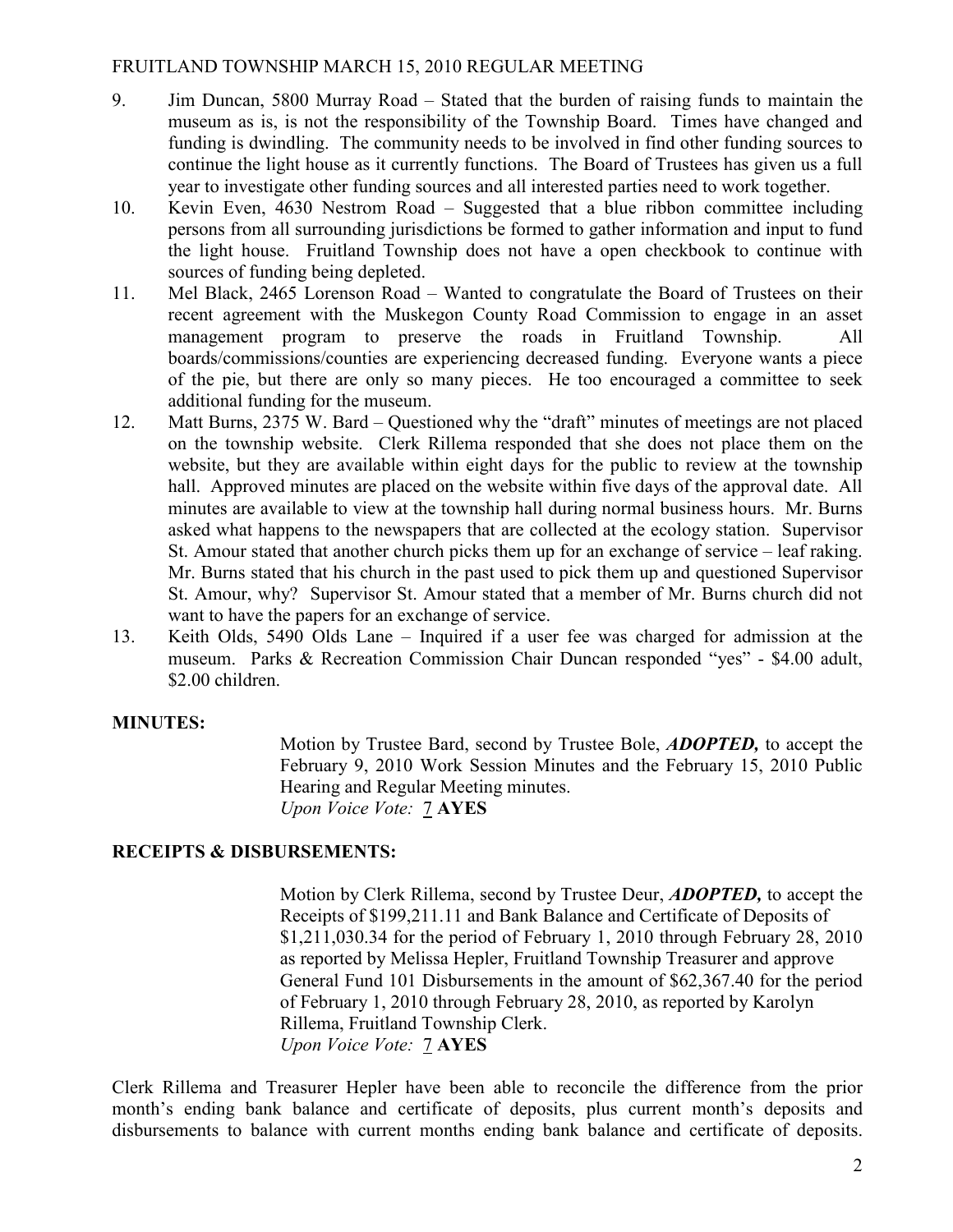- 9. Jim Duncan, 5800 Murray Road Stated that the burden of raising funds to maintain the museum as is, is not the responsibility of the Township Board. Times have changed and funding is dwindling. The community needs to be involved in find other funding sources to continue the light house as it currently functions. The Board of Trustees has given us a full year to investigate other funding sources and all interested parties need to work together.
- 10. Kevin Even, 4630 Nestrom Road Suggested that a blue ribbon committee including persons from all surrounding jurisdictions be formed to gather information and input to fund the light house. Fruitland Township does not have a open checkbook to continue with sources of funding being depleted.
- 11. Mel Black, 2465 Lorenson Road Wanted to congratulate the Board of Trustees on their recent agreement with the Muskegon County Road Commission to engage in an asset management program to preserve the roads in Fruitland Township. All boards/commissions/counties are experiencing decreased funding. Everyone wants a piece of the pie, but there are only so many pieces. He too encouraged a committee to seek additional funding for the museum.
- 12. Matt Burns, 2375 W. Bard Questioned why the "draft" minutes of meetings are not placed on the township website. Clerk Rillema responded that she does not place them on the website, but they are available within eight days for the public to review at the township hall. Approved minutes are placed on the website within five days of the approval date. All minutes are available to view at the township hall during normal business hours. Mr. Burns asked what happens to the newspapers that are collected at the ecology station. Supervisor St. Amour stated that another church picks them up for an exchange of service – leaf raking. Mr. Burns stated that his church in the past used to pick them up and questioned Supervisor St. Amour, why? Supervisor St. Amour stated that a member of Mr. Burns church did not want to have the papers for an exchange of service.
- 13. Keith Olds, 5490 Olds Lane Inquired if a user fee was charged for admission at the museum. Parks & Recreation Commission Chair Duncan responded "yes" - \$4.00 adult, \$2.00 children.

## MINUTES:

Motion by Trustee Bard, second by Trustee Bole, ADOPTED, to accept the February 9, 2010 Work Session Minutes and the February 15, 2010 Public Hearing and Regular Meeting minutes. Upon Voice Vote: 7 AYES

## RECEIPTS & DISBURSEMENTS:

 Motion by Clerk Rillema, second by Trustee Deur, ADOPTED, to accept the Receipts of \$199,211.11 and Bank Balance and Certificate of Deposits of \$1,211,030.34 for the period of February 1, 2010 through February 28, 2010 as reported by Melissa Hepler, Fruitland Township Treasurer and approve General Fund 101 Disbursements in the amount of \$62,367.40 for the period of February 1, 2010 through February 28, 2010, as reported by Karolyn Rillema, Fruitland Township Clerk. Upon Voice Vote: 7 AYES

Clerk Rillema and Treasurer Hepler have been able to reconcile the difference from the prior month's ending bank balance and certificate of deposits, plus current month's deposits and disbursements to balance with current months ending bank balance and certificate of deposits.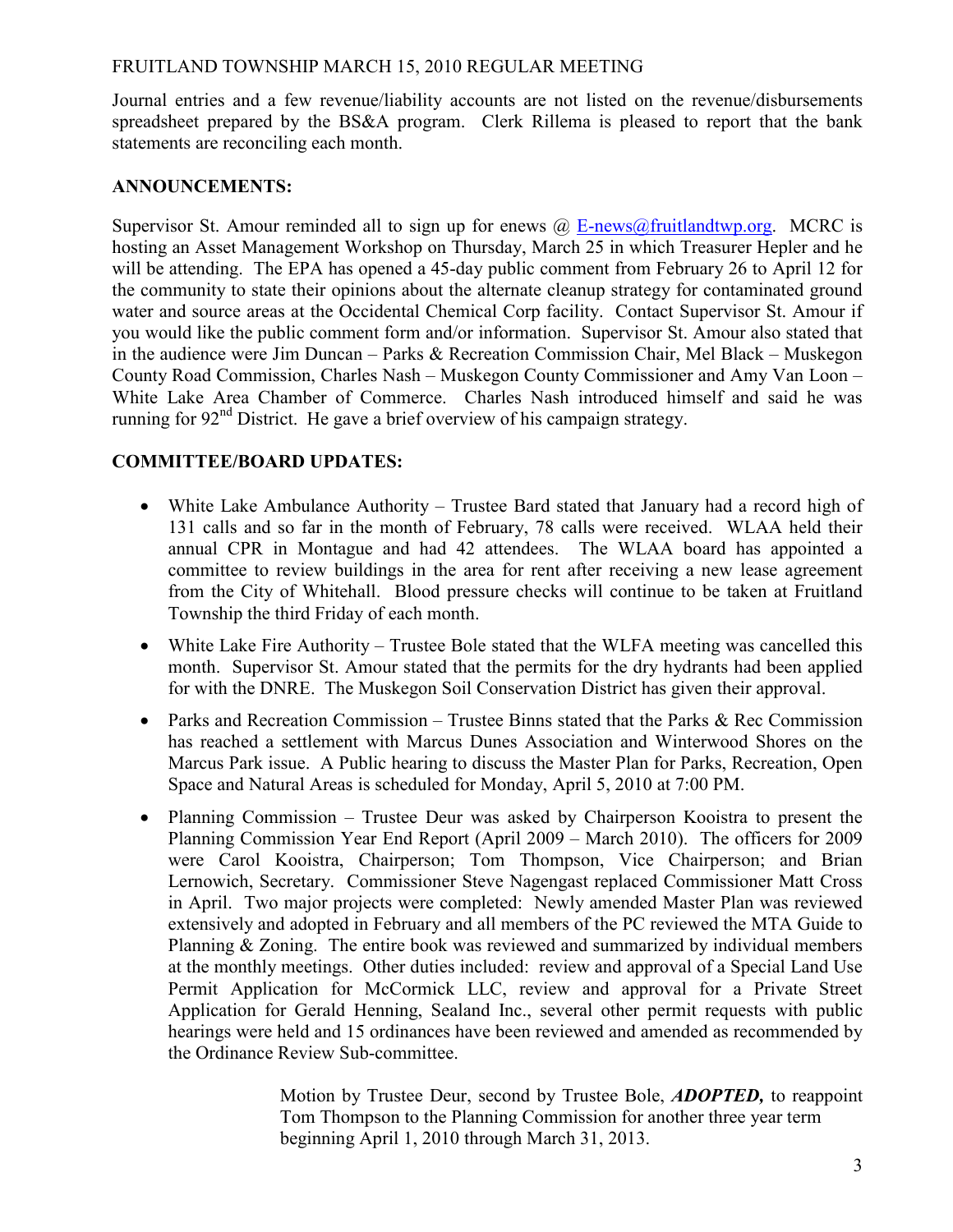Journal entries and a few revenue/liability accounts are not listed on the revenue/disbursements spreadsheet prepared by the BS&A program. Clerk Rillema is pleased to report that the bank statements are reconciling each month.

## ANNOUNCEMENTS:

Supervisor St. Amour reminded all to sign up for enews  $\omega$  E-news  $\omega$  fruitlandtwp.org. MCRC is hosting an Asset Management Workshop on Thursday, March 25 in which Treasurer Hepler and he will be attending. The EPA has opened a 45-day public comment from February 26 to April 12 for the community to state their opinions about the alternate cleanup strategy for contaminated ground water and source areas at the Occidental Chemical Corp facility. Contact Supervisor St. Amour if you would like the public comment form and/or information. Supervisor St. Amour also stated that in the audience were Jim Duncan – Parks & Recreation Commission Chair, Mel Black – Muskegon County Road Commission, Charles Nash – Muskegon County Commissioner and Amy Van Loon – White Lake Area Chamber of Commerce. Charles Nash introduced himself and said he was running for  $92<sup>nd</sup>$  District. He gave a brief overview of his campaign strategy.

# COMMITTEE/BOARD UPDATES:

- White Lake Ambulance Authority Trustee Bard stated that January had a record high of 131 calls and so far in the month of February, 78 calls were received. WLAA held their annual CPR in Montague and had 42 attendees. The WLAA board has appointed a committee to review buildings in the area for rent after receiving a new lease agreement from the City of Whitehall. Blood pressure checks will continue to be taken at Fruitland Township the third Friday of each month.
- White Lake Fire Authority Trustee Bole stated that the WLFA meeting was cancelled this month. Supervisor St. Amour stated that the permits for the dry hydrants had been applied for with the DNRE. The Muskegon Soil Conservation District has given their approval.
- Parks and Recreation Commission Trustee Binns stated that the Parks  $\&$  Rec Commission has reached a settlement with Marcus Dunes Association and Winterwood Shores on the Marcus Park issue. A Public hearing to discuss the Master Plan for Parks, Recreation, Open Space and Natural Areas is scheduled for Monday, April 5, 2010 at 7:00 PM.
- Planning Commission Trustee Deur was asked by Chairperson Kooistra to present the Planning Commission Year End Report (April 2009 – March 2010). The officers for 2009 were Carol Kooistra, Chairperson; Tom Thompson, Vice Chairperson; and Brian Lernowich, Secretary. Commissioner Steve Nagengast replaced Commissioner Matt Cross in April. Two major projects were completed: Newly amended Master Plan was reviewed extensively and adopted in February and all members of the PC reviewed the MTA Guide to Planning & Zoning. The entire book was reviewed and summarized by individual members at the monthly meetings. Other duties included: review and approval of a Special Land Use Permit Application for McCormick LLC, review and approval for a Private Street Application for Gerald Henning, Sealand Inc., several other permit requests with public hearings were held and 15 ordinances have been reviewed and amended as recommended by the Ordinance Review Sub-committee.

Motion by Trustee Deur, second by Trustee Bole, **ADOPTED**, to reappoint Tom Thompson to the Planning Commission for another three year term beginning April 1, 2010 through March 31, 2013.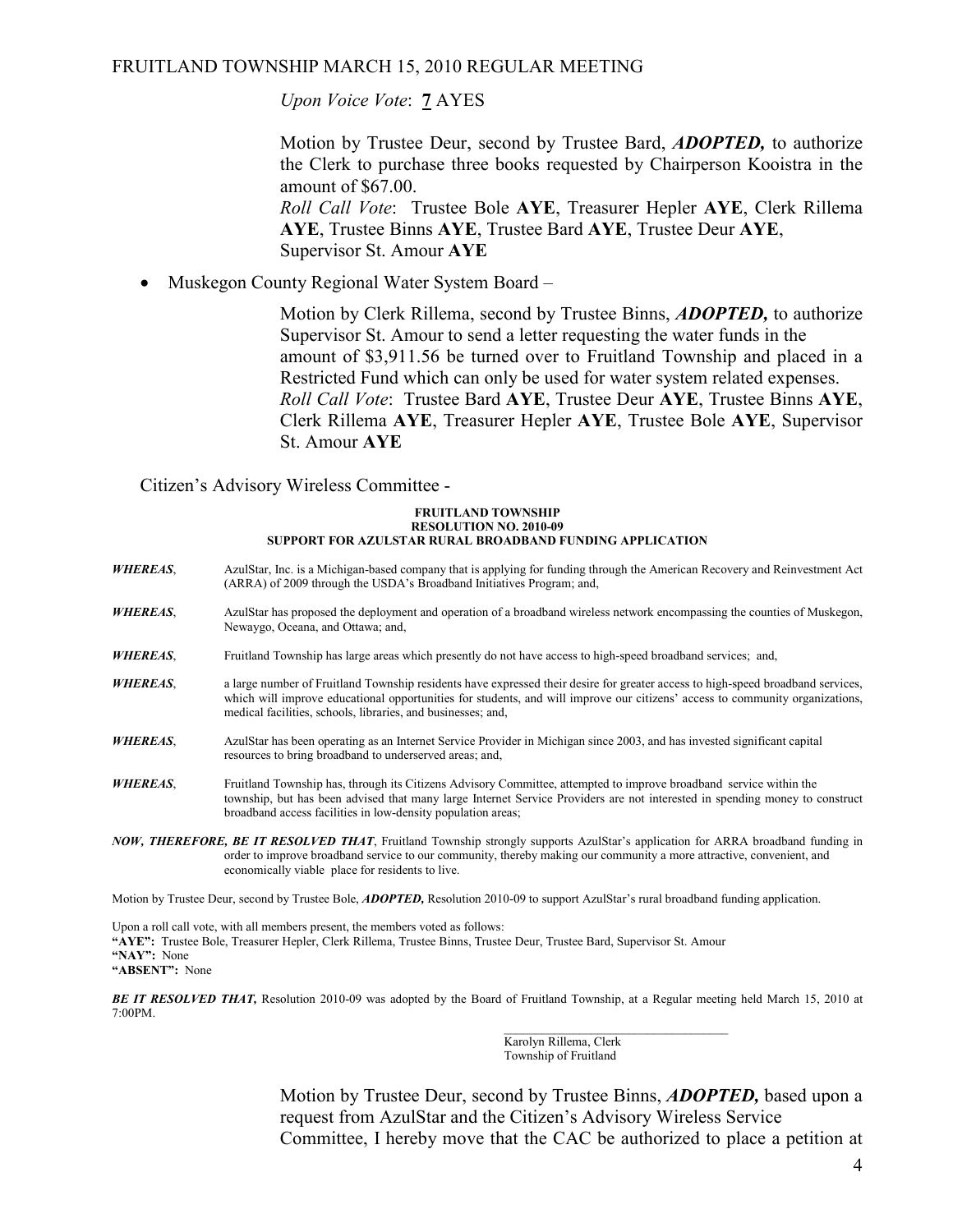Upon Voice Vote: 7 AYES

Motion by Trustee Deur, second by Trustee Bard, **ADOPTED**, to authorize the Clerk to purchase three books requested by Chairperson Kooistra in the amount of \$67.00.

Roll Call Vote: Trustee Bole AYE, Treasurer Hepler AYE, Clerk Rillema AYE, Trustee Binns AYE, Trustee Bard AYE, Trustee Deur AYE, Supervisor St. Amour AYE

• Muskegon County Regional Water System Board –

Motion by Clerk Rillema, second by Trustee Binns, **ADOPTED**, to authorize Supervisor St. Amour to send a letter requesting the water funds in the amount of \$3,911.56 be turned over to Fruitland Township and placed in a Restricted Fund which can only be used for water system related expenses. Roll Call Vote: Trustee Bard AYE, Trustee Deur AYE, Trustee Binns AYE, Clerk Rillema AYE, Treasurer Hepler AYE, Trustee Bole AYE, Supervisor St. Amour AYE

Citizen's Advisory Wireless Committee -

#### FRUITLAND TOWNSHIP RESOLUTION NO. 2010-09 SUPPORT FOR AZULSTAR RURAL BROADBAND FUNDING APPLICATION

- WHEREAS, AzulStar, Inc. is a Michigan-based company that is applying for funding through the American Recovery and Reinvestment Act (ARRA) of 2009 through the USDA's Broadband Initiatives Program; and,
- WHEREAS, AzulStar has proposed the deployment and operation of a broadband wireless network encompassing the counties of Muskegon, Newaygo, Oceana, and Ottawa; and,
- WHEREAS, Fruitland Township has large areas which presently do not have access to high-speed broadband services; and,
- WHEREAS, a large number of Fruitland Township residents have expressed their desire for greater access to high-speed broadband services, which will improve educational opportunities for students, and will improve our citizens' access to community organizations, medical facilities, schools, libraries, and businesses; and,
- WHEREAS, AzulStar has been operating as an Internet Service Provider in Michigan since 2003, and has invested significant capital resources to bring broadband to underserved areas; and,
- WHEREAS, Fruitland Township has, through its Citizens Advisory Committee, attempted to improve broadband service within the township, but has been advised that many large Internet Service Providers are not interested in spending money to construct broadband access facilities in low-density population areas;
- NOW, THEREFORE, BE IT RESOLVED THAT, Fruitland Township strongly supports AzulStar's application for ARRA broadband funding in order to improve broadband service to our community, thereby making our community a more attractive, convenient, and economically viable place for residents to live.

Motion by Trustee Deur, second by Trustee Bole, ADOPTED, Resolution 2010-09 to support AzulStar's rural broadband funding application.

Upon a roll call vote, with all members present, the members voted as follows: "AYE": Trustee Bole, Treasurer Hepler, Clerk Rillema, Trustee Binns, Trustee Deur, Trustee Bard, Supervisor St. Amour "NAY": None "ABSENT": None

BE IT RESOLVED THAT, Resolution 2010-09 was adopted by the Board of Fruitland Township, at a Regular meeting held March 15, 2010 at 7:00PM.

 $\mathcal{L}_\mathcal{L}$  , which is a set of the set of the set of the set of the set of the set of the set of the set of the set of the set of the set of the set of the set of the set of the set of the set of the set of the set of Karolyn Rillema, Clerk Township of Fruitland

> Motion by Trustee Deur, second by Trustee Binns, **ADOPTED**, based upon a request from AzulStar and the Citizen's Advisory Wireless Service Committee, I hereby move that the CAC be authorized to place a petition at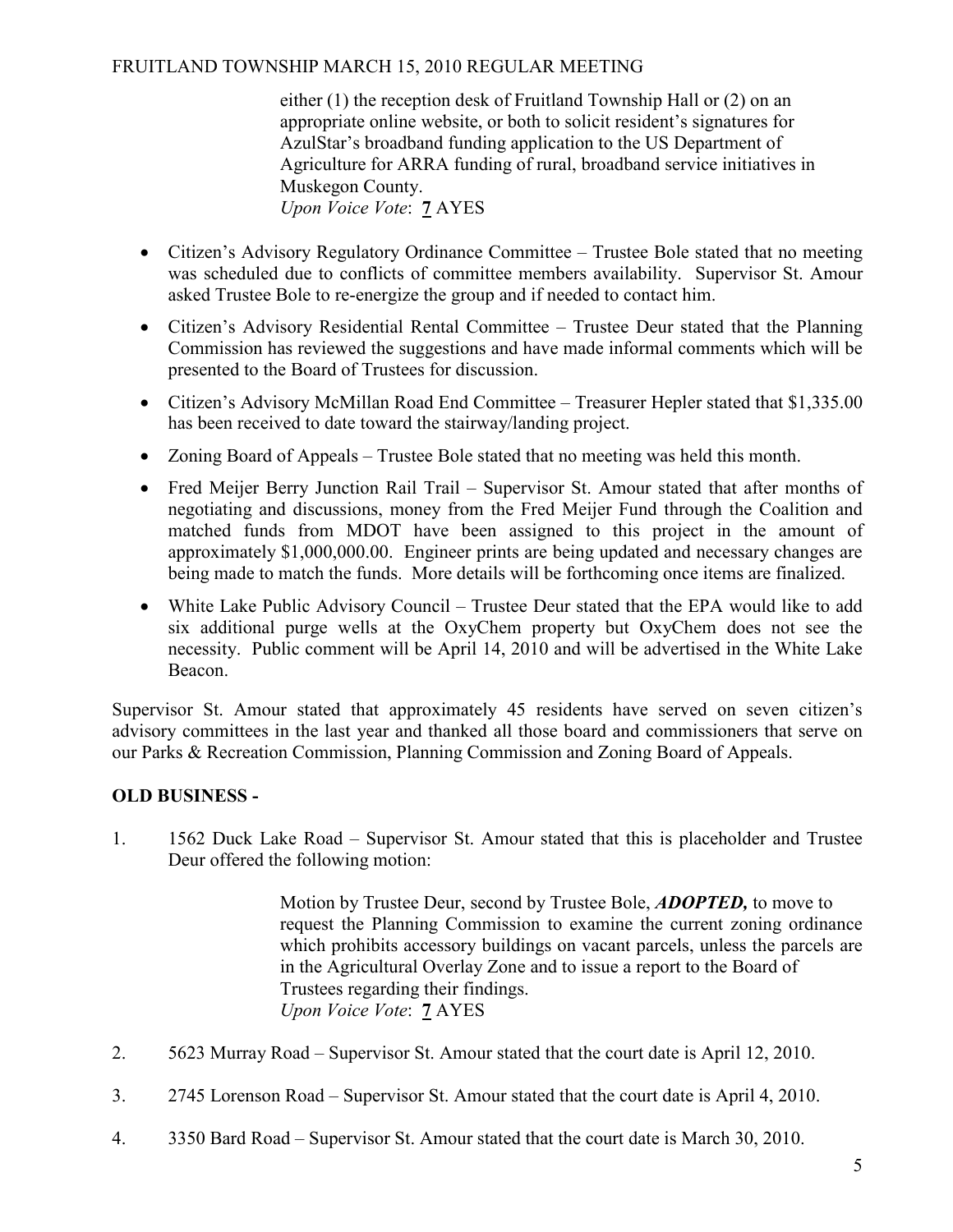either (1) the reception desk of Fruitland Township Hall or (2) on an appropriate online website, or both to solicit resident's signatures for AzulStar's broadband funding application to the US Department of Agriculture for ARRA funding of rural, broadband service initiatives in Muskegon County. Upon Voice Vote: 7 AYES

- Citizen's Advisory Regulatory Ordinance Committee Trustee Bole stated that no meeting was scheduled due to conflicts of committee members availability. Supervisor St. Amour asked Trustee Bole to re-energize the group and if needed to contact him.
- Citizen's Advisory Residential Rental Committee Trustee Deur stated that the Planning Commission has reviewed the suggestions and have made informal comments which will be presented to the Board of Trustees for discussion.
- Citizen's Advisory McMillan Road End Committee Treasurer Hepler stated that \$1,335.00 has been received to date toward the stairway/landing project.
- Zoning Board of Appeals Trustee Bole stated that no meeting was held this month.
- Fred Meijer Berry Junction Rail Trail Supervisor St. Amour stated that after months of negotiating and discussions, money from the Fred Meijer Fund through the Coalition and matched funds from MDOT have been assigned to this project in the amount of approximately \$1,000,000.00. Engineer prints are being updated and necessary changes are being made to match the funds. More details will be forthcoming once items are finalized.
- White Lake Public Advisory Council Trustee Deur stated that the EPA would like to add six additional purge wells at the OxyChem property but OxyChem does not see the necessity. Public comment will be April 14, 2010 and will be advertised in the White Lake Beacon.

Supervisor St. Amour stated that approximately 45 residents have served on seven citizen's advisory committees in the last year and thanked all those board and commissioners that serve on our Parks & Recreation Commission, Planning Commission and Zoning Board of Appeals.

# OLD BUSINESS -

1. 1562 Duck Lake Road – Supervisor St. Amour stated that this is placeholder and Trustee Deur offered the following motion:

> Motion by Trustee Deur, second by Trustee Bole, **ADOPTED**, to move to request the Planning Commission to examine the current zoning ordinance which prohibits accessory buildings on vacant parcels, unless the parcels are in the Agricultural Overlay Zone and to issue a report to the Board of Trustees regarding their findings. Upon Voice Vote: 7 AYES

- 2. 5623 Murray Road Supervisor St. Amour stated that the court date is April 12, 2010.
- 3. 2745 Lorenson Road Supervisor St. Amour stated that the court date is April 4, 2010.
- 4. 3350 Bard Road Supervisor St. Amour stated that the court date is March 30, 2010.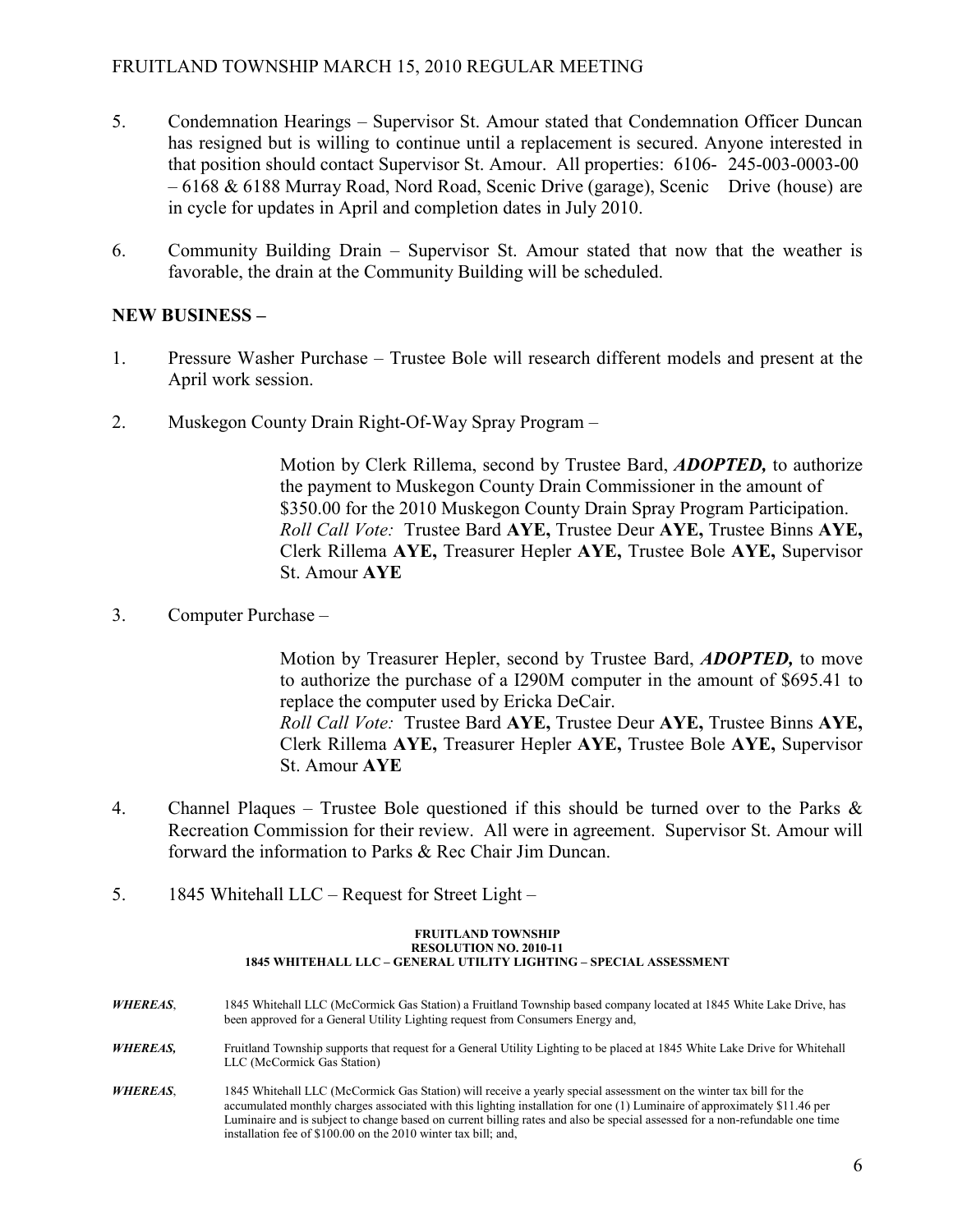- 5. Condemnation Hearings Supervisor St. Amour stated that Condemnation Officer Duncan has resigned but is willing to continue until a replacement is secured. Anyone interested in that position should contact Supervisor St. Amour. All properties: 6106- 245-003-0003-00 – 6168 & 6188 Murray Road, Nord Road, Scenic Drive (garage), Scenic Drive (house) are in cycle for updates in April and completion dates in July 2010.
- 6. Community Building Drain Supervisor St. Amour stated that now that the weather is favorable, the drain at the Community Building will be scheduled.

## NEW BUSINESS –

- 1. Pressure Washer Purchase Trustee Bole will research different models and present at the April work session.
- 2. Muskegon County Drain Right-Of-Way Spray Program –

Motion by Clerk Rillema, second by Trustee Bard, **ADOPTED**, to authorize the payment to Muskegon County Drain Commissioner in the amount of \$350.00 for the 2010 Muskegon County Drain Spray Program Participation. Roll Call Vote: Trustee Bard AYE, Trustee Deur AYE, Trustee Binns AYE, Clerk Rillema AYE, Treasurer Hepler AYE, Trustee Bole AYE, Supervisor St. Amour AYE

3. Computer Purchase –

Motion by Treasurer Hepler, second by Trustee Bard, **ADOPTED**, to move to authorize the purchase of a I290M computer in the amount of \$695.41 to replace the computer used by Ericka DeCair. Roll Call Vote: Trustee Bard AYE, Trustee Deur AYE, Trustee Binns AYE, Clerk Rillema AYE, Treasurer Hepler AYE, Trustee Bole AYE, Supervisor St. Amour AYE

- 4. Channel Plaques Trustee Bole questioned if this should be turned over to the Parks  $\&$  Recreation Commission for their review. All were in agreement. Supervisor St. Amour will forward the information to Parks & Rec Chair Jim Duncan.
- 5. 1845 Whitehall LLC Request for Street Light –

installation fee of \$100.00 on the 2010 winter tax bill; and,

#### FRUITLAND TOWNSHIP RESOLUTION NO. 2010-11 1845 WHITEHALL LLC – GENERAL UTILITY LIGHTING – SPECIAL ASSESSMENT

| <b>WHEREAS.</b> | 1845 Whitehall LLC (McCormick Gas Station) a Fruitland Township based company located at 1845 White Lake Drive, has<br>been approved for a General Utility Lighting request from Consumers Energy and,                                          |
|-----------------|-------------------------------------------------------------------------------------------------------------------------------------------------------------------------------------------------------------------------------------------------|
| <b>WHEREAS,</b> | Fruitland Township supports that request for a General Utility Lighting to be placed at 1845 White Lake Drive for Whitehall<br>LLC (McCormick Gas Station)                                                                                      |
| <b>WHEREAS.</b> | 1845 Whitehall LLC (McCormick Gas Station) will receive a yearly special assessment on the winter tax bill for the<br>accumulated monthly charges associated with this lighting installation for one (1) Luminaire of approximately \$11.46 per |

Luminaire and is subject to change based on current billing rates and also be special assessed for a non-refundable one time

6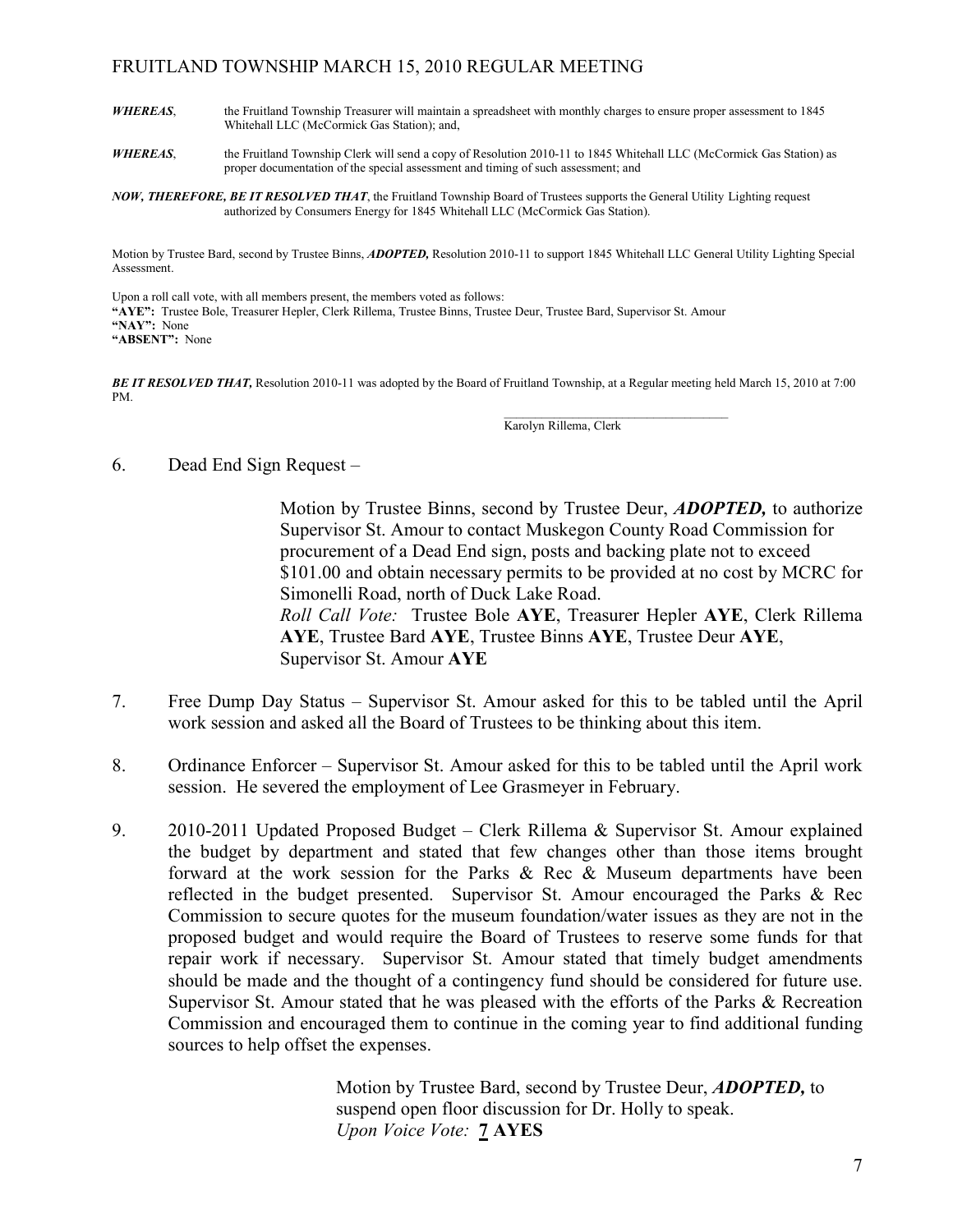- WHEREAS, the Fruitland Township Treasurer will maintain a spreadsheet with monthly charges to ensure proper assessment to 1845 Whitehall LLC (McCormick Gas Station); and,
- WHEREAS, the Fruitland Township Clerk will send a copy of Resolution 2010-11 to 1845 Whitehall LLC (McCormick Gas Station) as proper documentation of the special assessment and timing of such assessment; and

NOW, THEREFORE, BE IT RESOLVED THAT, the Fruitland Township Board of Trustees supports the General Utility Lighting request authorized by Consumers Energy for 1845 Whitehall LLC (McCormick Gas Station).

Motion by Trustee Bard, second by Trustee Binns, ADOPTED, Resolution 2010-11 to support 1845 Whitehall LLC General Utility Lighting Special Assessment.

Upon a roll call vote, with all members present, the members voted as follows: "AYE": Trustee Bole, Treasurer Hepler, Clerk Rillema, Trustee Binns, Trustee Deur, Trustee Bard, Supervisor St. Amour "NAY": None "ABSENT": None

BE IT RESOLVED THAT, Resolution 2010-11 was adopted by the Board of Fruitland Township, at a Regular meeting held March 15, 2010 at 7:00 PM.  $\mathcal{L}_\text{max}$  , and the set of the set of the set of the set of the set of the set of the set of the set of the set of the set of the set of the set of the set of the set of the set of the set of the set of the set of the

Karolyn Rillema, Clerk

6. Dead End Sign Request –

Motion by Trustee Binns, second by Trustee Deur, **ADOPTED**, to authorize Supervisor St. Amour to contact Muskegon County Road Commission for procurement of a Dead End sign, posts and backing plate not to exceed \$101.00 and obtain necessary permits to be provided at no cost by MCRC for Simonelli Road, north of Duck Lake Road.

Roll Call Vote: Trustee Bole AYE, Treasurer Hepler AYE, Clerk Rillema AYE, Trustee Bard AYE, Trustee Binns AYE, Trustee Deur AYE, Supervisor St. Amour AYE

- 7. Free Dump Day Status Supervisor St. Amour asked for this to be tabled until the April work session and asked all the Board of Trustees to be thinking about this item.
- 8. Ordinance Enforcer Supervisor St. Amour asked for this to be tabled until the April work session. He severed the employment of Lee Grasmeyer in February.
- 9. 2010-2011 Updated Proposed Budget Clerk Rillema & Supervisor St. Amour explained the budget by department and stated that few changes other than those items brought forward at the work session for the Parks & Rec & Museum departments have been reflected in the budget presented. Supervisor St. Amour encouraged the Parks & Rec Commission to secure quotes for the museum foundation/water issues as they are not in the proposed budget and would require the Board of Trustees to reserve some funds for that repair work if necessary. Supervisor St. Amour stated that timely budget amendments should be made and the thought of a contingency fund should be considered for future use. Supervisor St. Amour stated that he was pleased with the efforts of the Parks & Recreation Commission and encouraged them to continue in the coming year to find additional funding sources to help offset the expenses.

Motion by Trustee Bard, second by Trustee Deur, **ADOPTED**, to suspend open floor discussion for Dr. Holly to speak. Upon Voice Vote: **7 AYES**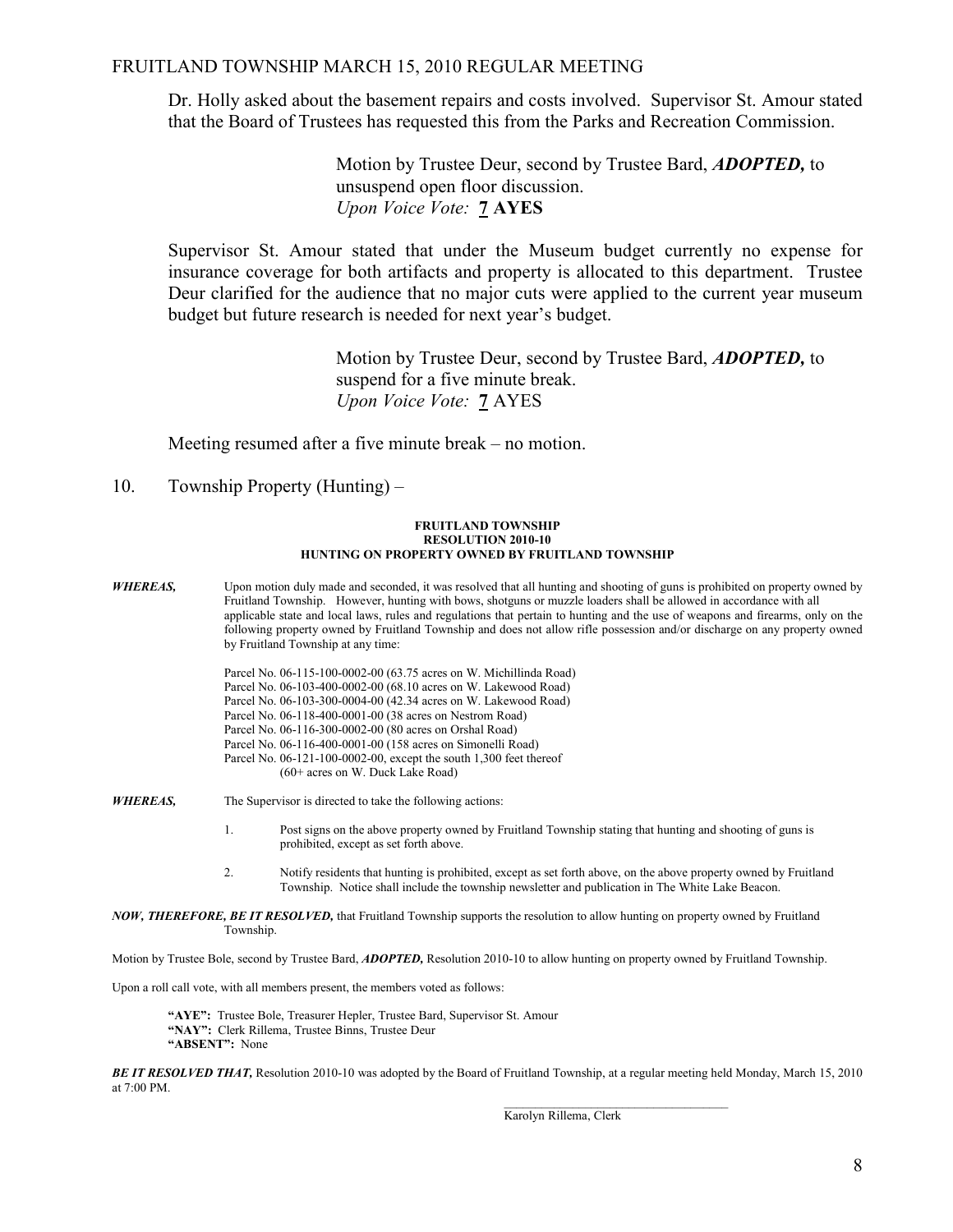Dr. Holly asked about the basement repairs and costs involved. Supervisor St. Amour stated that the Board of Trustees has requested this from the Parks and Recreation Commission.

> Motion by Trustee Deur, second by Trustee Bard, **ADOPTED**, to unsuspend open floor discussion. Upon Voice Vote: 7 AYES

 Supervisor St. Amour stated that under the Museum budget currently no expense for insurance coverage for both artifacts and property is allocated to this department. Trustee Deur clarified for the audience that no major cuts were applied to the current year museum budget but future research is needed for next year's budget.

> Motion by Trustee Deur, second by Trustee Bard, ADOPTED, to suspend for a five minute break. Upon Voice Vote: 7 AYES

Meeting resumed after a five minute break – no motion.

10. Township Property (Hunting) –

#### FRUITLAND TOWNSHIP RESOLUTION 2010-10 HUNTING ON PROPERTY OWNED BY FRUITLAND TOWNSHIP

**WHEREAS,** Upon motion duly made and seconded, it was resolved that all hunting and shooting of guns is prohibited on property owned by Fruitland Township. However, hunting with bows, shotguns or muzzle loaders shall be allowed in accordance with all applicable state and local laws, rules and regulations that pertain to hunting and the use of weapons and firearms, only on the following property owned by Fruitland Township and does not allow rifle possession and/or discharge on any property owned by Fruitland Township at any time:

> Parcel No. 06-115-100-0002-00 (63.75 acres on W. Michillinda Road) Parcel No. 06-103-400-0002-00 (68.10 acres on W. Lakewood Road) Parcel No. 06-103-300-0004-00 (42.34 acres on W. Lakewood Road) Parcel No. 06-118-400-0001-00 (38 acres on Nestrom Road) Parcel No. 06-116-300-0002-00 (80 acres on Orshal Road) Parcel No. 06-116-400-0001-00 (158 acres on Simonelli Road) Parcel No. 06-121-100-0002-00, except the south 1,300 feet thereof (60+ acres on W. Duck Lake Road)

WHEREAS, The Supervisor is directed to take the following actions:

 1. Post signs on the above property owned by Fruitland Township stating that hunting and shooting of guns is prohibited, except as set forth above.

 2. Notify residents that hunting is prohibited, except as set forth above, on the above property owned by Fruitland Township. Notice shall include the township newsletter and publication in The White Lake Beacon.

NOW, THEREFORE, BE IT RESOLVED, that Fruitland Township supports the resolution to allow hunting on property owned by Fruitland Township.

Motion by Trustee Bole, second by Trustee Bard, *ADOPTED*, Resolution 2010-10 to allow hunting on property owned by Fruitland Township.

Upon a roll call vote, with all members present, the members voted as follows:

"AYE": Trustee Bole, Treasurer Hepler, Trustee Bard, Supervisor St. Amour "NAY": Clerk Rillema, Trustee Binns, Trustee Deur "ABSENT": None

BE IT RESOLVED THAT, Resolution 2010-10 was adopted by the Board of Fruitland Township, at a regular meeting held Monday, March 15, 2010 at 7:00 PM.

Karolyn Rillema, Clerk